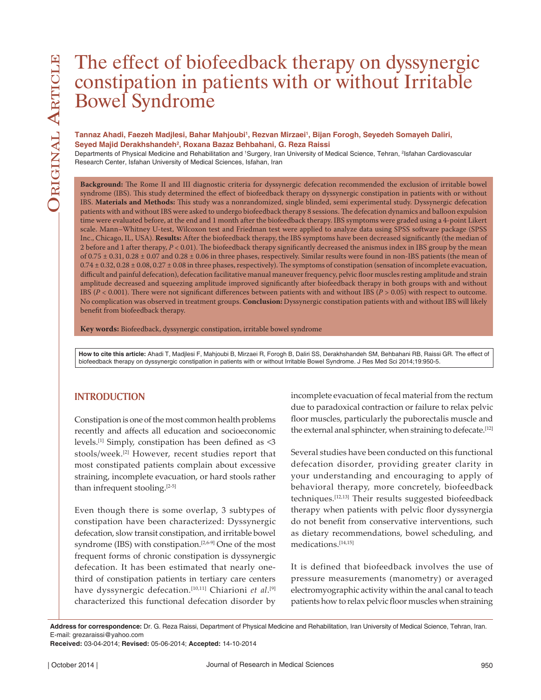# The effect of biofeedback therapy on dyssynergic constipation in patients with or without Irritable Bowel Syndrome

#### Tannaz Ahadi, Faezeh Madjlesi, Bahar Mahjoubi<sup>ı</sup>, Rezvan Mirzaei<sup>ı</sup>, Bijan Forogh, Seyedeh Somayeh Daliri, **Seyed Majid Derakhshandeh2 , Roxana Bazaz Behbahani, G. Reza Raissi**

Departments of Physical Medicine and Rehabilitation and 'Surgery, Iran University of Medical Science, Tehran, <sup>2</sup>Isfahan Cardiovascular Research Center, Isfahan University of Medical Sciences, Isfahan, Iran

**Background:** The Rome II and III diagnostic criteria for dyssynergic defecation recommended the exclusion of irritable bowel syndrome (IBS). This study determined the effect of biofeedback therapy on dyssynergic constipation in patients with or without IBS. **Materials and Methods:** This study was a nonrandomized, single blinded, semi experimental study. Dyssynergic defecation patients with and without IBS were asked to undergo biofeedback therapy 8 sessions. The defecation dynamics and balloon expulsion time were evaluated before, at the end and 1 month after the biofeedback therapy. IBS symptoms were graded using a 4-point Likert scale. Mann–Whitney U-test, Wilcoxon test and Friedman test were applied to analyze data using SPSS software package (SPSS Inc., Chicago, IL, USA). **Results:** After the biofeedback therapy, the IBS symptoms have been decreased significantly (the median of 2 before and 1 after therapy, *P* < 0.01). The biofeedback therapy significantly decreased the anismus index in IBS group by the mean of 0.75 ± 0.31, 0.28 ± 0.07 and 0.28 ± 0.06 in three phases, respectively. Similar results were found in non-IBS patients (the mean of  $0.74 \pm 0.32$ ,  $0.28 \pm 0.08$ ,  $0.27 \pm 0.08$  in three phases, respectively). The symptoms of constipation (sensation of incomplete evacuation, difficult and painful defecation), defecation facilitative manual maneuver frequency, pelvic floor muscles resting amplitude and strain amplitude decreased and squeezing amplitude improved significantly after biofeedback therapy in both groups with and without IBS (*P* < 0.001). There were not significant differences between patients with and without IBS (*P* > 0.05) with respect to outcome. No complication was observed in treatment groups. **Conclusion:** Dyssynergic constipation patients with and without IBS will likely benefit from biofeedback therapy.

**Key words:** Biofeedback, dyssynergic constipation, irritable bowel syndrome

**How to cite this article:** Ahadi T, Madjlesi F, Mahjoubi B, Mirzaei R, Forogh B, Daliri SS, Derakhshandeh SM, Behbahani RB, Raissi GR. The effect of biofeedback therapy on dyssynergic constipation in patients with or without Irritable Bowel Syndrome. J Res Med Sci 2014;19:950-5.

# **INTRODUCTION**

Constipation is one of the most common health problems recently and affects all education and socioeconomic levels.[1] Simply, constipation has been defined as <3 stools/week.[2] However, recent studies report that most constipated patients complain about excessive straining, incomplete evacuation, or hard stools rather than infrequent stooling.<sup>[2-5]</sup>

Even though there is some overlap, 3 subtypes of constipation have been characterized: Dyssynergic defecation, slow transit constipation, and irritable bowel syndrome (IBS) with constipation.[2,6-9] One of the most frequent forms of chronic constipation is dyssynergic defecation. It has been estimated that nearly onethird of constipation patients in tertiary care centers have dyssynergic defecation.[10,11] Chiarioni *et al*. [9] characterized this functional defecation disorder by

incomplete evacuation of fecal material from the rectum due to paradoxical contraction or failure to relax pelvic floor muscles, particularly the puborectalis muscle and the external anal sphincter, when straining to defecate.<sup>[12]</sup>

Several studies have been conducted on this functional defecation disorder, providing greater clarity in your understanding and encouraging to apply of behavioral therapy, more concretely, biofeedback techniques.[12,13] Their results suggested biofeedback therapy when patients with pelvic floor dyssynergia do not benefit from conservative interventions, such as dietary recommendations, bowel scheduling, and medications.[14,15]

It is defined that biofeedback involves the use of pressure measurements (manometry) or averaged electromyographic activity within the anal canal to teach patients how to relax pelvic floor muscles when straining

**Address for correspondence:** Dr. G. Reza Raissi, Department of Physical Medicine and Rehabilitation, Iran University of Medical Science, Tehran, Iran. E-mail: grezaraissi@yahoo.com

**Received:** 03-04-2014; **Revised:** 05-06-2014; **Accepted:** 14-10-2014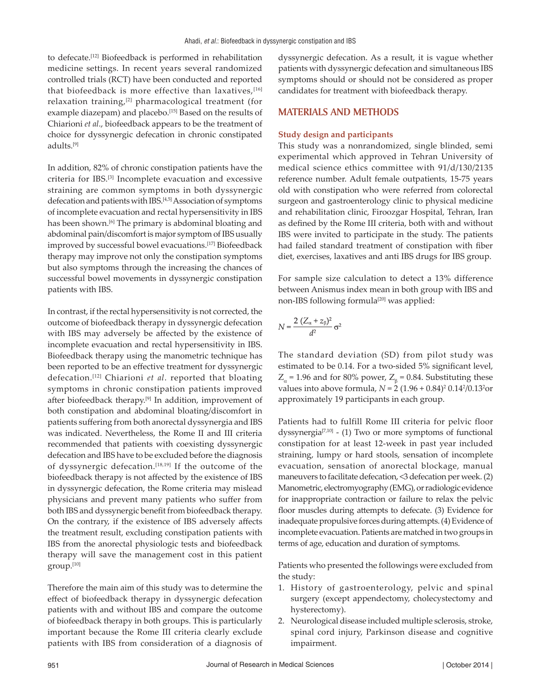to defecate.[12] Biofeedback is performed in rehabilitation medicine settings. In recent years several randomized controlled trials (RCT) have been conducted and reported that biofeedback is more effective than laxatives,  $[16]$ relaxation training,<sup>[2]</sup> pharmacological treatment (for example diazepam) and placebo.<sup>[15]</sup> Based on the results of Chiarioni *et al*., biofeedback appears to be the treatment of choice for dyssynergic defecation in chronic constipated adults.[9]

In addition, 82% of chronic constipation patients have the criteria for IBS.[3] Incomplete evacuation and excessive straining are common symptoms in both dyssynergic defecation and patients with IBS.[4,5] Association of symptoms of incomplete evacuation and rectal hypersensitivity in IBS has been shown.<sup>[6]</sup> The primary is abdominal bloating and abdominal pain/discomfort is major symptom of IBS usually improved by successful bowel evacuations.[17] Biofeedback therapy may improve not only the constipation symptoms but also symptoms through the increasing the chances of successful bowel movements in dyssynergic constipation patients with IBS.

In contrast, if the rectal hypersensitivity is not corrected, the outcome of biofeedback therapy in dyssynergic defecation with IBS may adversely be affected by the existence of incomplete evacuation and rectal hypersensitivity in IBS. Biofeedback therapy using the manometric technique has been reported to be an effective treatment for dyssynergic defecation.[12] Chiarioni *et al*. reported that bloating symptoms in chronic constipation patients improved after biofeedback therapy.<sup>[9]</sup> In addition, improvement of both constipation and abdominal bloating/discomfort in patients suffering from both anorectal dyssynergia and IBS was indicated. Nevertheless, the Rome II and III criteria recommended that patients with coexisting dyssynergic defecation and IBS have to be excluded before the diagnosis of dyssynergic defecation.<sup>[18,19]</sup> If the outcome of the biofeedback therapy is not affected by the existence of IBS in dyssynergic defecation, the Rome criteria may mislead physicians and prevent many patients who suffer from both IBS and dyssynergic benefit from biofeedback therapy. On the contrary, if the existence of IBS adversely affects the treatment result, excluding constipation patients with IBS from the anorectal physiologic tests and biofeedback therapy will save the management cost in this patient group.[10]

Therefore the main aim of this study was to determine the effect of biofeedback therapy in dyssynergic defecation patients with and without IBS and compare the outcome of biofeedback therapy in both groups. This is particularly important because the Rome III criteria clearly exclude patients with IBS from consideration of a diagnosis of dyssynergic defecation. As a result, it is vague whether patients with dyssynergic defecation and simultaneous IBS symptoms should or should not be considered as proper candidates for treatment with biofeedback therapy.

## **MATERIALS AND METHODS**

#### **Study design and participants**

This study was a nonrandomized, single blinded, semi experimental which approved in Tehran University of medical science ethics committee with 91/d/130/2135 reference number. Adult female outpatients, 15-75 years old with constipation who were referred from colorectal surgeon and gastroenterology clinic to physical medicine and rehabilitation clinic, Firoozgar Hospital, Tehran, Iran as defined by the Rome III criteria, both with and without IBS were invited to participate in the study. The patients had failed standard treatment of constipation with fiber diet, exercises, laxatives and anti IBS drugs for IBS group.

For sample size calculation to detect a 13% difference between Anismus index mean in both group with IBS and non-IBS following formula<sup>[20]</sup> was applied:

$$
N = \frac{2\left(Z_{\alpha} + z_{\beta}\right)^2}{d^2} \sigma^2
$$

The standard deviation (SD) from pilot study was estimated to be 0.14. For a two-sided 5% significant level,  $Z_{\alpha}$  = 1.96 and for 80% power,  $Z_{\beta}$  = 0.84. Substituting these values into above formula,  $N = 2 (1.96 + 0.84)^2 0.14^2 / 0.13^2$ or approximately 19 participants in each group.

Patients had to fulfill Rome III criteria for pelvic floor dyssynergia<sup>[7,10]</sup> - (1) Two or more symptoms of functional constipation for at least 12-week in past year included straining, lumpy or hard stools, sensation of incomplete evacuation, sensation of anorectal blockage, manual maneuvers to facilitate defecation, <3 defecation per week. (2) Manometric, electromyography (EMG), or radiologic evidence for inappropriate contraction or failure to relax the pelvic floor muscles during attempts to defecate. (3) Evidence for inadequate propulsive forces during attempts. (4) Evidence of incomplete evacuation. Patients are matched in two groups in terms of age, education and duration of symptoms.

Patients who presented the followings were excluded from the study:

- 1. History of gastroenterology, pelvic and spinal surgery (except appendectomy, cholecystectomy and hysterectomy).
- 2. Neurological disease included multiple sclerosis, stroke, spinal cord injury, Parkinson disease and cognitive impairment.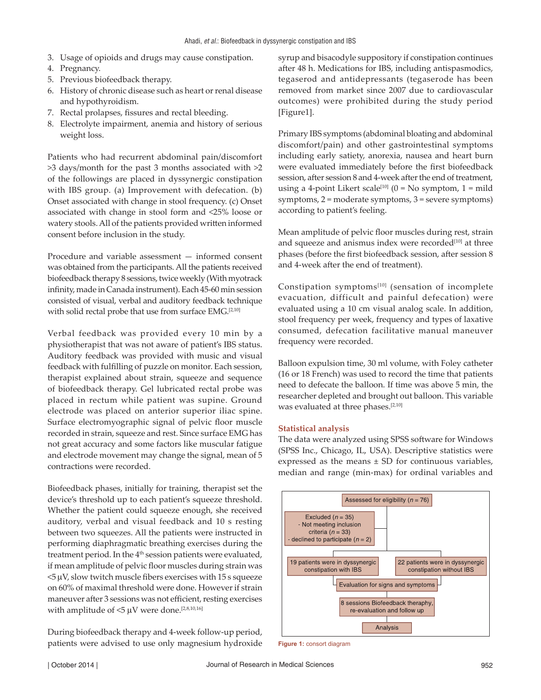- 3. Usage of opioids and drugs may cause constipation.
- 4. Pregnancy.
- 5. Previous biofeedback therapy.
- 6. History of chronic disease such as heart or renal disease and hypothyroidism.
- 7. Rectal prolapses, fissures and rectal bleeding.
- 8. Electrolyte impairment, anemia and history of serious weight loss.

Patients who had recurrent abdominal pain/discomfort >3 days/month for the past 3 months associated with >2 of the followings are placed in dyssynergic constipation with IBS group. (a) Improvement with defecation. (b) Onset associated with change in stool frequency. (c) Onset associated with change in stool form and <25% loose or watery stools. All of the patients provided written informed consent before inclusion in the study.

Procedure and variable assessment — informed consent was obtained from the participants. All the patients received biofeedback therapy 8 sessions, twice weekly (With myotrack infinity, made in Canada instrument). Each 45-60 min session consisted of visual, verbal and auditory feedback technique with solid rectal probe that use from surface EMG.<sup>[2,10]</sup>

Verbal feedback was provided every 10 min by a physiotherapist that was not aware of patient's IBS status. Auditory feedback was provided with music and visual feedback with fulfilling of puzzle on monitor. Each session, therapist explained about strain, squeeze and sequence of biofeedback therapy. Gel lubricated rectal probe was placed in rectum while patient was supine. Ground electrode was placed on anterior superior iliac spine. Surface electromyographic signal of pelvic floor muscle recorded in strain, squeeze and rest. Since surface EMG has not great accuracy and some factors like muscular fatigue and electrode movement may change the signal, mean of 5 contractions were recorded.

Biofeedback phases, initially for training, therapist set the device's threshold up to each patient's squeeze threshold. Whether the patient could squeeze enough, she received auditory, verbal and visual feedback and 10 s resting between two squeezes. All the patients were instructed in performing diaphragmatic breathing exercises during the treatment period. In the 4<sup>th</sup> session patients were evaluated, if mean amplitude of pelvic floor muscles during strain was  $5 \mu$ V, slow twitch muscle fibers exercises with 15 s squeeze on 60% of maximal threshold were done. However if strain maneuver after 3 sessions was not efficient, resting exercises with amplitude of  $<$  5  $\mu \rm{V}$  were done.  $^{[2,8,10,16]}$ 

During biofeedback therapy and 4-week follow-up period, patients were advised to use only magnesium hydroxide syrup and bisacodyle suppository if constipation continues after 48 h. Medications for IBS, including antispasmodics, tegaserod and antidepressants (tegaserode has been removed from market since 2007 due to cardiovascular outcomes) were prohibited during the study period [Figure1].

Primary IBS symptoms (abdominal bloating and abdominal discomfort/pain) and other gastrointestinal symptoms including early satiety, anorexia, nausea and heart burn were evaluated immediately before the first biofeedback session, after session 8 and 4-week after the end of treatment, using a 4-point Likert scale<sup>[10]</sup> (0 = No symptom, 1 = mild symptoms, 2 = moderate symptoms, 3 = severe symptoms) according to patient's feeling.

Mean amplitude of pelvic floor muscles during rest, strain and squeeze and anismus index were recorded<sup>[10]</sup> at three phases (before the first biofeedback session, after session 8 and 4-week after the end of treatment).

Constipation symptoms<sup>[10]</sup> (sensation of incomplete evacuation, difficult and painful defecation) were evaluated using a 10 cm visual analog scale. In addition, stool frequency per week, frequency and types of laxative consumed, defecation facilitative manual maneuver frequency were recorded.

Balloon expulsion time, 30 ml volume, with Foley catheter (16 or 18 French) was used to record the time that patients need to defecate the balloon. If time was above 5 min, the researcher depleted and brought out balloon. This variable was evaluated at three phases.<sup>[2,10]</sup>

#### **Statistical analysis**

The data were analyzed using SPSS software for Windows (SPSS Inc., Chicago, IL, USA). Descriptive statistics were expressed as the means  $\pm$  SD for continuous variables, median and range (min-max) for ordinal variables and



**Figure 1:** consort diagram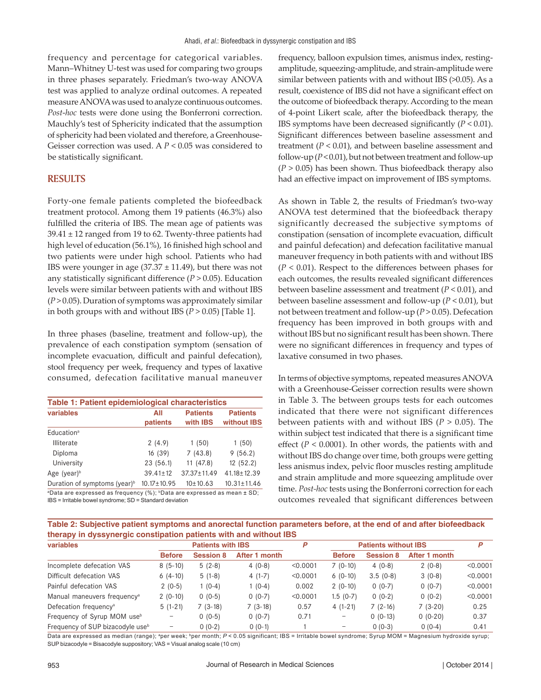frequency and percentage for categorical variables. Mann–Whitney U-test was used for comparing two groups in three phases separately. Friedman's two-way ANOVA test was applied to analyze ordinal outcomes. A repeated measure ANOVA was used to analyze continuous outcomes. *Post*-*hoc* tests were done using the Bonferroni correction. Mauchly's test of Sphericity indicated that the assumption of sphericity had been violated and therefore, a Greenhouse-Geisser correction was used. A *P* < 0.05 was considered to be statistically significant.

#### **RESULTS**

Forty-one female patients completed the biofeedback treatment protocol. Among them 19 patients (46.3%) also fulfilled the criteria of IBS. The mean age of patients was  $39.41 \pm 12$  ranged from 19 to 62. Twenty-three patients had high level of education (56.1%), 16 finished high school and two patients were under high school. Patients who had IBS were younger in age  $(37.37 \pm 11.49)$ , but there was not any statistically significant difference (*P* > 0.05). Education levels were similar between patients with and without IBS (*P* > 0.05). Duration of symptoms was approximately similar in both groups with and without IBS  $(P > 0.05)$  [Table 1].

In three phases (baseline, treatment and follow-up), the prevalence of each constipation symptom (sensation of incomplete evacuation, difficult and painful defecation), stool frequency per week, frequency and types of laxative consumed, defecation facilitative manual maneuver

| Table 1: Patient epidemiological characteristics                                                    |                   |                             |                                |  |  |  |  |
|-----------------------------------------------------------------------------------------------------|-------------------|-----------------------------|--------------------------------|--|--|--|--|
| variables                                                                                           | All<br>patients   | <b>Patients</b><br>with IBS | <b>Patients</b><br>without IBS |  |  |  |  |
| Education <sup>a</sup>                                                                              |                   |                             |                                |  |  |  |  |
| <b>Illiterate</b>                                                                                   | 2(4.9)            | 1(50)                       | 1(50)                          |  |  |  |  |
| Diploma                                                                                             | 16(39)            | 7(43.8)                     | 9(56.2)                        |  |  |  |  |
| University                                                                                          | 23 (56.1)         | 11 (47.8)                   | 12(52.2)                       |  |  |  |  |
| Age (year) $\frac{b}{b}$                                                                            | $39.41 \pm 12$    | $37.37 \pm 11.49$           | $41.18 \pm 12.39$              |  |  |  |  |
| Duration of symptoms (year) <sup>b</sup>                                                            | $10.17 \pm 10.95$ | $10+10.63$                  | $10.31 \pm 11.46$              |  |  |  |  |
| <sup>a</sup> Data are expressed as frequency (%); <sup>b</sup> Data are expressed as mean $\pm$ SD; |                   |                             |                                |  |  |  |  |

IBS = Irritable bowel syndrome; SD = Standard deviation

frequency, balloon expulsion times, anismus index, restingamplitude, squeezing-amplitude, and strain-amplitude were similar between patients with and without IBS (>0.05). As a result, coexistence of IBS did not have a significant effect on the outcome of biofeedback therapy. According to the mean of 4-point Likert scale, after the biofeedback therapy, the IBS symptoms have been decreased significantly (*P* < 0.01). Significant differences between baseline assessment and treatment  $(P < 0.01)$ , and between baseline assessment and follow-up  $(P < 0.01)$ , but not between treatment and follow-up (*P* > 0.05) has been shown. Thus biofeedback therapy also had an effective impact on improvement of IBS symptoms.

As shown in Table 2, the results of Friedman's two-way ANOVA test determined that the biofeedback therapy significantly decreased the subjective symptoms of constipation (sensation of incomplete evacuation, difficult and painful defecation) and defecation facilitative manual maneuver frequency in both patients with and without IBS (*P* < 0.01). Respect to the differences between phases for each outcomes, the results revealed significant differences between baseline assessment and treatment (*P* < 0.01), and between baseline assessment and follow-up (*P* < 0.01), but not between treatment and follow-up (*P* > 0.05). Defecation frequency has been improved in both groups with and without IBS but no significant result has been shown. There were no significant differences in frequency and types of laxative consumed in two phases.

In terms of objective symptoms, repeated measures ANOVA with a Greenhouse-Geisser correction results were shown in Table 3. The between groups tests for each outcomes indicated that there were not significant differences between patients with and without IBS (*P* > 0.05). The within subject test indicated that there is a significant time effect ( $P < 0.0001$ ). In other words, the patients with and without IBS do change over time, both groups were getting less anismus index, pelvic floor muscles resting amplitude and strain amplitude and more squeezing amplitude over time. *Post-hoc* tests using the Bonferroni correction for each outcomes revealed that significant differences between

**Table 2: Subjective patient symptoms and anorectal function parameters before, at the end of and after biofeedback therapy in dyssynergic constipation patients with and without IBS**

| variables                                    | <b>Patients with IBS</b> |                  | P             | <b>Patients without IBS</b> |                   |                  | P             |          |
|----------------------------------------------|--------------------------|------------------|---------------|-----------------------------|-------------------|------------------|---------------|----------|
|                                              | <b>Before</b>            | <b>Session 8</b> | After 1 month |                             | <b>Before</b>     | <b>Session 8</b> | After 1 month |          |
| Incomplete defecation VAS                    | $8(5-10)$                | $5(2-8)$         | $4(0-8)$      | < 0.0001                    | $7(0-10)$         | $4(0-8)$         | $2(0-8)$      | < 0.0001 |
| Difficult defecation VAS                     | $6(4-10)$                | $5(1-8)$         | $4(1-7)$      | < 0.0001                    | $6(0-10)$         | $3.5(0-8)$       | $3(0-8)$      | < 0.0001 |
| Painful defecation VAS                       | $2(0-5)$                 | $1(0-4)$         | $(0-4)$       | 0.002                       | $2(0-10)$         | $0(0-7)$         | $0(0-7)$      | < 0.0001 |
| Manual maneuvers frequency <sup>a</sup>      | $2(0-10)$                | $0(0-5)$         | $0(0-7)$      | < 0.0001                    | $1.5(0-7)$        | $0(0-2)$         | $0(0-2)$      | < 0.0001 |
| Defecation frequency <sup>a</sup>            | $5(1-21)$                | $7(3-18)$        | $7(3-18)$     | 0.57                        | $4(1-21)$         | $7(2-16)$        | $7(3-20)$     | 0.25     |
| Frequency of Syrup MOM use <sup>b</sup>      |                          | $0(0-5)$         | $0(0-7)$      | 0.71                        | $\qquad \qquad -$ | $0(0-13)$        | $0(0-20)$     | 0.37     |
| Frequency of SUP bizacodyle use <sup>b</sup> |                          | $0(0-2)$         | $0(0-1)$      |                             | $\qquad \qquad -$ | $0(0-3)$         | $0(0-4)$      | 0.41     |

Data are expressed as median (range); <sup>a</sup>per week; <sup>b</sup>per month; *P* < 0.05 significant; IBS = Irritable bowel syndrome; Syrup MOM = Magnesium hydroxide syrup; SUP bizacodyle = Bisacodyle suppository; VAS = Visual analog scale (10 cm)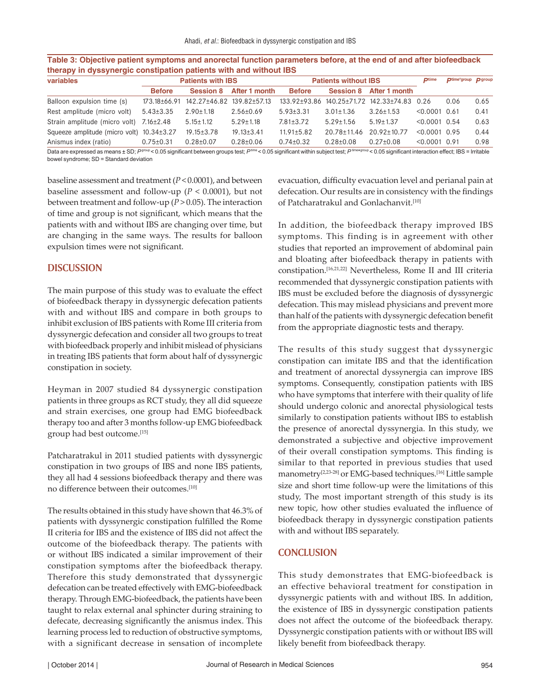| therapy in dyssynergic constipation patients with and without IBS |                          |                  |                           |                             |                  |                           |                 |                            |      |
|-------------------------------------------------------------------|--------------------------|------------------|---------------------------|-----------------------------|------------------|---------------------------|-----------------|----------------------------|------|
| variables                                                         | <b>Patients with IBS</b> |                  |                           | <b>Patients without IBS</b> |                  |                           | <b>Dtime</b>    | Dtime*group <b>D</b> group |      |
|                                                                   | <b>Before</b>            | <b>Session 8</b> | After 1 month             | <b>Before</b>               | <b>Session 8</b> | After 1 month             |                 |                            |      |
| Balloon expulsion time (s)                                        | $173.18 \pm 66.91$       |                  | 142.27+46.82 139.82+57.13 | 133.92+93.86                |                  | 140.25±71.72 142.33±74.83 | 0.26            | 0.06                       | 0.65 |
| Rest amplitude (micro volt)                                       | $5.43 \pm 3.35$          | $2.90 \pm 1.18$  | $2.56 \pm 0.69$           | $5.93 \pm 3.31$             | $3.01 \pm 1.36$  | $3.26 \pm 1.53$           | < 0.0001        | 0.61                       | 0.41 |
| Strain amplitude (micro volt) 7.16±2.48                           |                          | $5.15 \pm 1.12$  | $5.29 \pm 1.18$           | $7.81 \pm 3.72$             | $5.29 \pm 1.56$  | $5.19 \pm 1.37$           | $< 0.0001$ 0.54 |                            | 0.63 |
| Squeeze amplitude (micro volt) $10.34 \pm 3.27$                   |                          | $19.15 \pm 3.78$ | $19.13 \pm 3.41$          | $11.91 \pm 5.82$            | 20.78+11.46      | $20.92 + 10.77$           | $< 0.0001$ 0.95 |                            | 0.44 |
| Anismus index (ratio)                                             | $0.75 \pm 0.31$          | $0.28 + 0.07$    | $0.28 + 0.06$             | $0.74 \pm 0.32$             | $0.28 + 0.08$    | $0.27+0.08$               | < 0.0001        | 0.91                       | 0.98 |

**Table 3: Objective patient symptoms and anorectal function parameters before, at the end of and after biofeedback** 

Data are expressed as means ± SD;  $P^{\text{group}} < 0.05$  significant between groups test;  $P^{\text{time}} < 0.05$  significant within subject test;  $P^{\text{time}*\text{group}} < 0.05$  significant interaction effect; IBS = Irritable bowel syndrome; SD = Standard deviation

baseline assessment and treatment (*P* < 0.0001), and between baseline assessment and follow-up (*P* < 0.0001), but not between treatment and follow-up (*P* > 0.05). The interaction of time and group is not significant, which means that the patients with and without IBS are changing over time, but are changing in the same ways. The results for balloon expulsion times were not significant.

#### **DISCUSSION**

The main purpose of this study was to evaluate the effect of biofeedback therapy in dyssynergic defecation patients with and without IBS and compare in both groups to inhibit exclusion of IBS patients with Rome III criteria from dyssynergic defecation and consider all two groups to treat with biofeedback properly and inhibit mislead of physicians in treating IBS patients that form about half of dyssynergic constipation in society.

Heyman in 2007 studied 84 dyssynergic constipation patients in three groups as RCT study, they all did squeeze and strain exercises, one group had EMG biofeedback therapy too and after 3 months follow-up EMG biofeedback group had best outcome.[15]

Patcharatrakul in 2011 studied patients with dyssynergic constipation in two groups of IBS and none IBS patients, they all had 4 sessions biofeedback therapy and there was no difference between their outcomes.[10]

The results obtained in this study have shown that 46.3% of patients with dyssynergic constipation fulfilled the Rome II criteria for IBS and the existence of IBS did not affect the outcome of the biofeedback therapy. The patients with or without IBS indicated a similar improvement of their constipation symptoms after the biofeedback therapy. Therefore this study demonstrated that dyssynergic defecation can be treated effectively with EMG-biofeedback therapy. Through EMG-biofeedback, the patients have been taught to relax external anal sphincter during straining to defecate, decreasing significantly the anismus index. This learning process led to reduction of obstructive symptoms, with a significant decrease in sensation of incomplete evacuation, difficulty evacuation level and perianal pain at defecation. Our results are in consistency with the findings of Patcharatrakul and Gonlachanvit.[10]

In addition, the biofeedback therapy improved IBS symptoms. This finding is in agreement with other studies that reported an improvement of abdominal pain and bloating after biofeedback therapy in patients with constipation.[16,21,22] Nevertheless, Rome II and III criteria recommended that dyssynergic constipation patients with IBS must be excluded before the diagnosis of dyssynergic defecation. This may mislead physicians and prevent more than half of the patients with dyssynergic defecation benefit from the appropriate diagnostic tests and therapy.

The results of this study suggest that dyssynergic constipation can imitate IBS and that the identification and treatment of anorectal dyssynergia can improve IBS symptoms. Consequently, constipation patients with IBS who have symptoms that interfere with their quality of life should undergo colonic and anorectal physiological tests similarly to constipation patients without IBS to establish the presence of anorectal dyssynergia. In this study, we demonstrated a subjective and objective improvement of their overall constipation symptoms. This finding is similar to that reported in previous studies that used manometry<sup>[2,23-28]</sup> or EMG-based techniques.<sup>[16]</sup> Little sample size and short time follow-up were the limitations of this study, The most important strength of this study is its new topic, how other studies evaluated the influence of biofeedback therapy in dyssynergic constipation patients with and without IBS separately.

#### **CONCLUSION**

This study demonstrates that EMG-biofeedback is an effective behavioral treatment for constipation in dyssynergic patients with and without IBS. In addition, the existence of IBS in dyssynergic constipation patients does not affect the outcome of the biofeedback therapy. Dyssynergic constipation patients with or without IBS will likely benefit from biofeedback therapy.